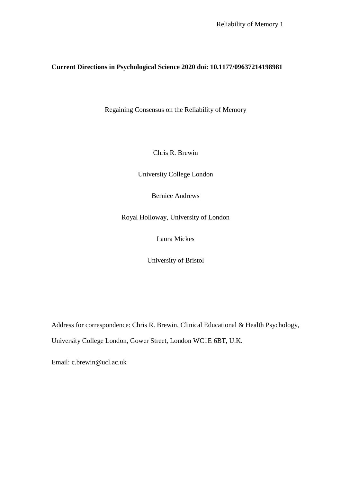# **Current Directions in Psychological Science 2020 doi: 10.1177/09637214198981**

Regaining Consensus on the Reliability of Memory

Chris R. Brewin

University College London

Bernice Andrews

Royal Holloway, University of London

Laura Mickes

University of Bristol

Address for correspondence: Chris R. Brewin, Clinical Educational & Health Psychology, University College London, Gower Street, London WC1E 6BT, U.K.

Email: c.brewin@ucl.ac.uk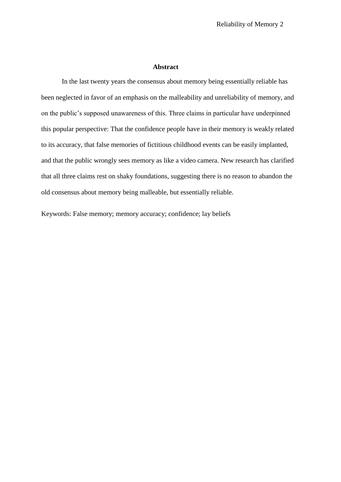# **Abstract**

In the last twenty years the consensus about memory being essentially reliable has been neglected in favor of an emphasis on the malleability and unreliability of memory, and on the public's supposed unawareness of this. Three claims in particular have underpinned this popular perspective: That the confidence people have in their memory is weakly related to its accuracy, that false memories of fictitious childhood events can be easily implanted, and that the public wrongly sees memory as like a video camera. New research has clarified that all three claims rest on shaky foundations, suggesting there is no reason to abandon the old consensus about memory being malleable, but essentially reliable.

Keywords: False memory; memory accuracy; confidence; lay beliefs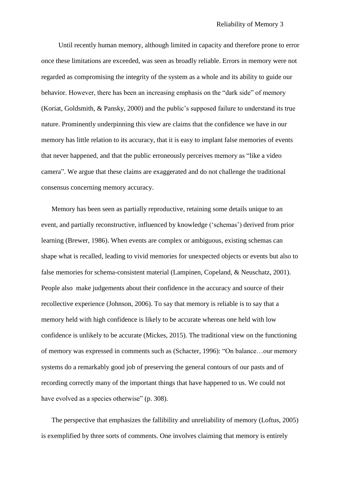Until recently human memory, although limited in capacity and therefore prone to error once these limitations are exceeded, was seen as broadly reliable. Errors in memory were not regarded as compromising the integrity of the system as a whole and its ability to guide our behavior. However, there has been an increasing emphasis on the "dark side" of memory (Koriat, Goldsmith, & Pansky, 2000) and the public's supposed failure to understand its true nature. Prominently underpinning this view are claims that the confidence we have in our memory has little relation to its accuracy, that it is easy to implant false memories of events that never happened, and that the public erroneously perceives memory as "like a video camera". We argue that these claims are exaggerated and do not challenge the traditional consensus concerning memory accuracy.

Memory has been seen as partially reproductive, retaining some details unique to an event, and partially reconstructive, influenced by knowledge ('schemas') derived from prior learning (Brewer, 1986). When events are complex or ambiguous, existing schemas can shape what is recalled, leading to vivid memories for unexpected objects or events but also to false memories for schema-consistent material (Lampinen, Copeland, & Neuschatz, 2001). People also make judgements about their confidence in the accuracy and source of their recollective experience (Johnson, 2006). To say that memory is reliable is to say that a memory held with high confidence is likely to be accurate whereas one held with low confidence is unlikely to be accurate (Mickes, 2015). The traditional view on the functioning of memory was expressed in comments such as (Schacter, 1996): "On balance…our memory systems do a remarkably good job of preserving the general contours of our pasts and of recording correctly many of the important things that have happened to us. We could not have evolved as a species otherwise" (p. 308).

The perspective that emphasizes the fallibility and unreliability of memory (Loftus, 2005) is exemplified by three sorts of comments. One involves claiming that memory is entirely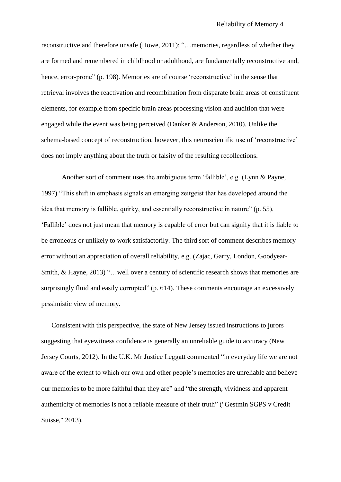reconstructive and therefore unsafe (Howe, 2011): "…memories, regardless of whether they are formed and remembered in childhood or adulthood, are fundamentally reconstructive and, hence, error-prone" (p. 198). Memories are of course 'reconstructive' in the sense that retrieval involves the reactivation and recombination from disparate brain areas of constituent elements, for example from specific brain areas processing vision and audition that were engaged while the event was being perceived (Danker & Anderson, 2010). Unlike the schema-based concept of reconstruction, however, this neuroscientific use of 'reconstructive' does not imply anything about the truth or falsity of the resulting recollections.

Another sort of comment uses the ambiguous term 'fallible', e.g. (Lynn & Payne, 1997) "This shift in emphasis signals an emerging zeitgeist that has developed around the idea that memory is fallible, quirky, and essentially reconstructive in nature" (p. 55). 'Fallible' does not just mean that memory is capable of error but can signify that it is liable to be erroneous or unlikely to work satisfactorily. The third sort of comment describes memory error without an appreciation of overall reliability, e.g. (Zajac, Garry, London, Goodyear-Smith, & Hayne, 2013) "…well over a century of scientific research shows that memories are surprisingly fluid and easily corrupted" (p. 614). These comments encourage an excessively pessimistic view of memory.

Consistent with this perspective, the state of New Jersey issued instructions to jurors suggesting that eyewitness confidence is generally an unreliable guide to accuracy (New Jersey Courts, 2012). In the U.K. Mr Justice Leggatt commented "in everyday life we are not aware of the extent to which our own and other people's memories are unreliable and believe our memories to be more faithful than they are" and "the strength, vividness and apparent authenticity of memories is not a reliable measure of their truth" ("Gestmin SGPS v Credit Suisse," 2013).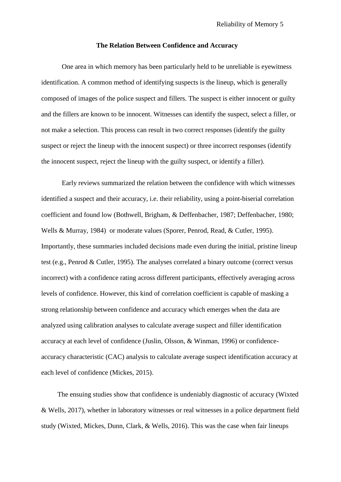#### **The Relation Between Confidence and Accuracy**

One area in which memory has been particularly held to be unreliable is eyewitness identification. A common method of identifying suspects is the lineup, which is generally composed of images of the police suspect and fillers. The suspect is either innocent or guilty and the fillers are known to be innocent. Witnesses can identify the suspect, select a filler, or not make a selection. This process can result in two correct responses (identify the guilty suspect or reject the lineup with the innocent suspect) or three incorrect responses (identify the innocent suspect, reject the lineup with the guilty suspect, or identify a filler).

Early reviews summarized the relation between the confidence with which witnesses identified a suspect and their accuracy, i.e. their reliability, using a point-biserial correlation coefficient and found low (Bothwell, Brigham, & Deffenbacher, 1987; Deffenbacher, 1980; Wells & Murray, 1984) or moderate values (Sporer, Penrod, Read, & Cutler, 1995). Importantly, these summaries included decisions made even during the initial, pristine lineup test (e.g., Penrod & Cutler, 1995). The analyses correlated a binary outcome (correct versus incorrect) with a confidence rating across different participants, effectively averaging across levels of confidence. However, this kind of correlation coefficient is capable of masking a strong relationship between confidence and accuracy which emerges when the data are analyzed using calibration analyses to calculate average suspect and filler identification accuracy at each level of confidence (Juslin, Olsson, & Winman, 1996) or confidenceaccuracy characteristic (CAC) analysis to calculate average suspect identification accuracy at each level of confidence (Mickes, 2015).

The ensuing studies show that confidence is undeniably diagnostic of accuracy (Wixted & Wells, 2017), whether in laboratory witnesses or real witnesses in a police department field study (Wixted, Mickes, Dunn, Clark, & Wells, 2016). This was the case when fair lineups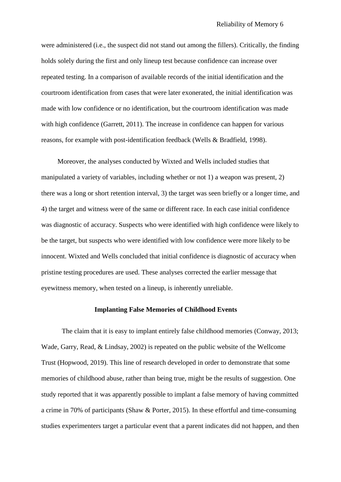were administered (i.e., the suspect did not stand out among the fillers). Critically, the finding holds solely during the first and only lineup test because confidence can increase over repeated testing. In a comparison of available records of the initial identification and the courtroom identification from cases that were later exonerated, the initial identification was made with low confidence or no identification, but the courtroom identification was made with high confidence (Garrett, 2011). The increase in confidence can happen for various reasons, for example with post-identification feedback (Wells & Bradfield, 1998).

Moreover, the analyses conducted by Wixted and Wells included studies that manipulated a variety of variables, including whether or not 1) a weapon was present, 2) there was a long or short retention interval, 3) the target was seen briefly or a longer time, and 4) the target and witness were of the same or different race. In each case initial confidence was diagnostic of accuracy. Suspects who were identified with high confidence were likely to be the target, but suspects who were identified with low confidence were more likely to be innocent. Wixted and Wells concluded that initial confidence is diagnostic of accuracy when pristine testing procedures are used. These analyses corrected the earlier message that eyewitness memory, when tested on a lineup, is inherently unreliable.

# **Implanting False Memories of Childhood Events**

The claim that it is easy to implant entirely false childhood memories (Conway, 2013; Wade, Garry, Read, & Lindsay, 2002) is repeated on the public website of the Wellcome Trust (Hopwood, 2019). This line of research developed in order to demonstrate that some memories of childhood abuse, rather than being true, might be the results of suggestion. One study reported that it was apparently possible to implant a false memory of having committed a crime in 70% of participants (Shaw & Porter, 2015). In these effortful and time-consuming studies experimenters target a particular event that a parent indicates did not happen, and then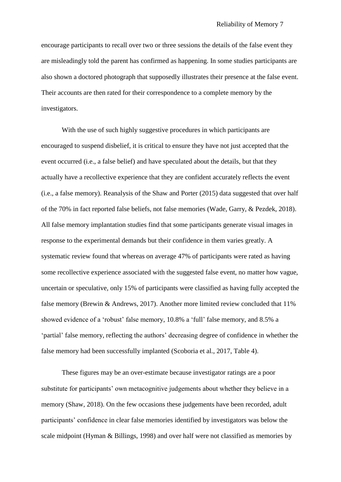encourage participants to recall over two or three sessions the details of the false event they are misleadingly told the parent has confirmed as happening. In some studies participants are also shown a doctored photograph that supposedly illustrates their presence at the false event. Their accounts are then rated for their correspondence to a complete memory by the investigators.

With the use of such highly suggestive procedures in which participants are encouraged to suspend disbelief, it is critical to ensure they have not just accepted that the event occurred (i.e., a false belief) and have speculated about the details, but that they actually have a recollective experience that they are confident accurately reflects the event (i.e., a false memory). Reanalysis of the Shaw and Porter (2015) data suggested that over half of the 70% in fact reported false beliefs, not false memories (Wade, Garry, & Pezdek, 2018). All false memory implantation studies find that some participants generate visual images in response to the experimental demands but their confidence in them varies greatly. A systematic review found that whereas on average 47% of participants were rated as having some recollective experience associated with the suggested false event, no matter how vague, uncertain or speculative, only 15% of participants were classified as having fully accepted the false memory (Brewin & Andrews, 2017). Another more limited review concluded that 11% showed evidence of a 'robust' false memory, 10.8% a 'full' false memory, and 8.5% a 'partial' false memory, reflecting the authors' decreasing degree of confidence in whether the false memory had been successfully implanted (Scoboria et al., 2017, Table 4).

These figures may be an over-estimate because investigator ratings are a poor substitute for participants' own metacognitive judgements about whether they believe in a memory (Shaw, 2018). On the few occasions these judgements have been recorded, adult participants' confidence in clear false memories identified by investigators was below the scale midpoint (Hyman & Billings, 1998) and over half were not classified as memories by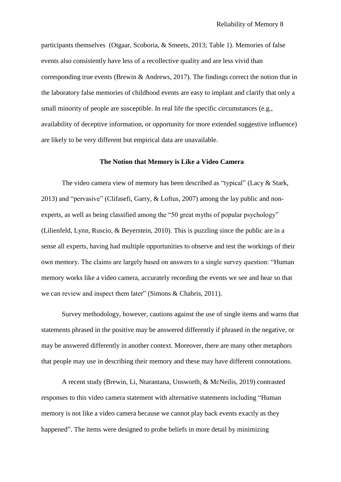participants themselves (Otgaar, Scoboria, & Smeets, 2013; Table 1). Memories of false events also consistently have less of a recollective quality and are less vivid than corresponding true events (Brewin & Andrews, 2017). The findings correct the notion that in the laboratory false memories of childhood events are easy to implant and clarify that only a small minority of people are susceptible. In real life the specific circumstances (e.g., availability of deceptive information, or opportunity for more extended suggestive influence) are likely to be very different but empirical data are unavailable.

# **The Notion that Memory is Like a Video Camera**

The video camera view of memory has been described as "typical" (Lacy & Stark, 2013) and "pervasive" (Clifasefi, Garry, & Loftus, 2007) among the lay public and nonexperts, as well as being classified among the "50 great myths of popular psychology" (Lilienfeld, Lynn, Ruscio, & Beyerstein, 2010). This is puzzling since the public are in a sense all experts, having had multiple opportunities to observe and test the workings of their own memory. The claims are largely based on answers to a single survey question: "Human memory works like a video camera, accurately recording the events we see and hear so that we can review and inspect them later" (Simons & Chabris, 2011).

Survey methodology, however, cautions against the use of single items and warns that statements phrased in the positive may be answered differently if phrased in the negative, or may be answered differently in another context. Moreover, there are many other metaphors that people may use in describing their memory and these may have different connotations.

A recent study (Brewin, Li, Ntarantana, Unsworth, & McNeilis, 2019) contrasted responses to this video camera statement with alternative statements including "Human memory is not like a video camera because we cannot play back events exactly as they happened". The items were designed to probe beliefs in more detail by minimizing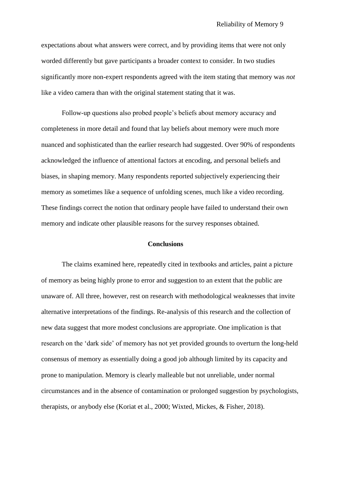expectations about what answers were correct, and by providing items that were not only worded differently but gave participants a broader context to consider. In two studies significantly more non-expert respondents agreed with the item stating that memory was *not* like a video camera than with the original statement stating that it was.

Follow-up questions also probed people's beliefs about memory accuracy and completeness in more detail and found that lay beliefs about memory were much more nuanced and sophisticated than the earlier research had suggested. Over 90% of respondents acknowledged the influence of attentional factors at encoding, and personal beliefs and biases, in shaping memory. Many respondents reported subjectively experiencing their memory as sometimes like a sequence of unfolding scenes, much like a video recording. These findings correct the notion that ordinary people have failed to understand their own memory and indicate other plausible reasons for the survey responses obtained.

### **Conclusions**

The claims examined here, repeatedly cited in textbooks and articles, paint a picture of memory as being highly prone to error and suggestion to an extent that the public are unaware of. All three, however, rest on research with methodological weaknesses that invite alternative interpretations of the findings. Re-analysis of this research and the collection of new data suggest that more modest conclusions are appropriate. One implication is that research on the 'dark side' of memory has not yet provided grounds to overturn the long-held consensus of memory as essentially doing a good job although limited by its capacity and prone to manipulation. Memory is clearly malleable but not unreliable, under normal circumstances and in the absence of contamination or prolonged suggestion by psychologists, therapists, or anybody else (Koriat et al., 2000; Wixted, Mickes, & Fisher, 2018).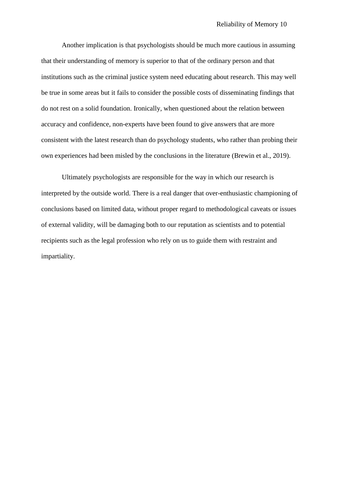Another implication is that psychologists should be much more cautious in assuming that their understanding of memory is superior to that of the ordinary person and that institutions such as the criminal justice system need educating about research. This may well be true in some areas but it fails to consider the possible costs of disseminating findings that do not rest on a solid foundation. Ironically, when questioned about the relation between accuracy and confidence, non-experts have been found to give answers that are more consistent with the latest research than do psychology students, who rather than probing their own experiences had been misled by the conclusions in the literature (Brewin et al., 2019).

Ultimately psychologists are responsible for the way in which our research is interpreted by the outside world. There is a real danger that over-enthusiastic championing of conclusions based on limited data, without proper regard to methodological caveats or issues of external validity, will be damaging both to our reputation as scientists and to potential recipients such as the legal profession who rely on us to guide them with restraint and impartiality.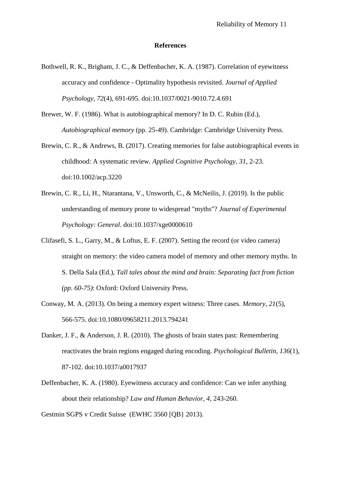#### **References**

- Bothwell, R. K., Brigham, J. C., & Deffenbacher, K. A. (1987). Correlation of eyewitness accuracy and confidence - Optimality hypothesis revisited. *Journal of Applied Psychology, 72*(4), 691-695. doi:10.1037/0021-9010.72.4.691
- Brewer, W. F. (1986). What is autobiographical memory? In D. C. Rubin (Ed.), *Autobiographical memory* (pp. 25-49). Cambridge: Cambridge University Press.
- Brewin, C. R., & Andrews, B. (2017). Creating memories for false autobiographical events in childhood: A systematic review. *Applied Cognitive Psychology, 31*, 2-23. doi:10.1002/acp.3220
- Brewin, C. R., Li, H., Ntarantana, V., Unsworth, C., & McNeilis, J. (2019). Is the public understanding of memory prone to widespread "myths"? *Journal of Experimental Psychology: General*. doi:10.1037/xge0000610
- Clifasefi, S. L., Garry, M., & Loftus, E. F. (2007). Setting the record (or video camera) straight on memory: the video camera model of memory and other memory myths. In S. Della Sala (Ed.), *Tall tales about the mind and brain: Separating fact from fiction (pp. 60-75)*: Oxford: Oxford University Press.
- Conway, M. A. (2013). On being a memory expert witness: Three cases. *Memory, 21*(5), 566-575. doi:10.1080/09658211.2013.794241
- Danker, J. F., & Anderson, J. R. (2010). The ghosts of brain states past: Remembering reactivates the brain regions engaged during encoding. *Psychological Bulletin, 136*(1), 87-102. doi:10.1037/a0017937
- Deffenbacher, K. A. (1980). Eyewitness accuracy and confidence: Can we infer anything about their relationship? *Law and Human Behavior, 4*, 243-260.

Gestmin SGPS v Credit Suisse (EWHC 3560 [QB} 2013).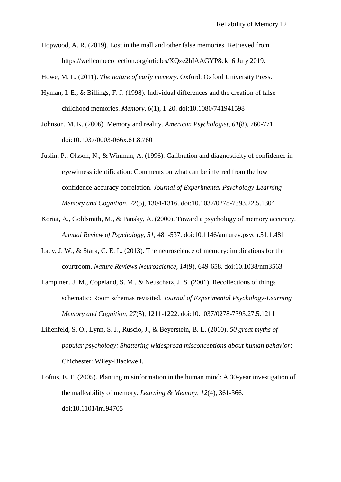Hopwood, A. R. (2019). Lost in the mall and other false memories. Retrieved from https://wellcomecollection.org/articles/XQze2hIAAGYP8ckl 6 July 2019.

Howe, M. L. (2011). *The nature of early memory*. Oxford: Oxford University Press.

- Hyman, I. E., & Billings, F. J. (1998). Individual differences and the creation of false childhood memories. *Memory, 6*(1), 1-20. doi:10.1080/741941598
- Johnson, M. K. (2006). Memory and reality. *American Psychologist, 61*(8), 760-771. doi:10.1037/0003-066x.61.8.760
- Juslin, P., Olsson, N., & Winman, A. (1996). Calibration and diagnosticity of confidence in eyewitness identification: Comments on what can be inferred from the low confidence-accuracy correlation. *Journal of Experimental Psychology-Learning Memory and Cognition, 22*(5), 1304-1316. doi:10.1037/0278-7393.22.5.1304
- Koriat, A., Goldsmith, M., & Pansky, A. (2000). Toward a psychology of memory accuracy. *Annual Review of Psychology, 51*, 481-537. doi:10.1146/annurev.psych.51.1.481
- Lacy, J. W., & Stark, C. E. L. (2013). The neuroscience of memory: implications for the courtroom. *Nature Reviews Neuroscience, 14*(9), 649-658. doi:10.1038/nrn3563
- Lampinen, J. M., Copeland, S. M., & Neuschatz, J. S. (2001). Recollections of things schematic: Room schemas revisited. *Journal of Experimental Psychology-Learning Memory and Cognition, 27*(5), 1211-1222. doi:10.1037/0278-7393.27.5.1211
- Lilienfeld, S. O., Lynn, S. J., Ruscio, J., & Beyerstein, B. L. (2010). *50 great myths of popular psychology: Shattering widespread misconceptions about human behavior*: Chichester: Wiley-Blackwell.
- Loftus, E. F. (2005). Planting misinformation in the human mind: A 30-year investigation of the malleability of memory. *Learning & Memory, 12*(4), 361-366. doi:10.1101/lm.94705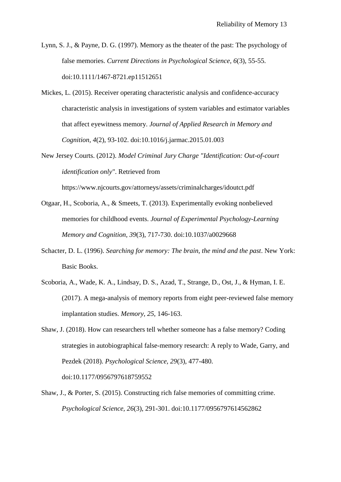Lynn, S. J., & Payne, D. G. (1997). Memory as the theater of the past: The psychology of false memories. *Current Directions in Psychological Science, 6*(3), 55-55. doi:10.1111/1467-8721.ep11512651

Mickes, L. (2015). Receiver operating characteristic analysis and confidence-accuracy characteristic analysis in investigations of system variables and estimator variables that affect eyewitness memory. *Journal of Applied Research in Memory and Cognition, 4*(2), 93-102. doi:10.1016/j.jarmac.2015.01.003

New Jersey Courts. (2012). *Model Criminal Jury Charge "Identification: Out-of-court identification only"*. Retrieved from

https://www.njcourts.gov/attorneys/assets/criminalcharges/idoutct.pdf

- Otgaar, H., Scoboria, A., & Smeets, T. (2013). Experimentally evoking nonbelieved memories for childhood events. *Journal of Experimental Psychology-Learning Memory and Cognition, 39*(3), 717-730. doi:10.1037/a0029668
- Schacter, D. L. (1996). *Searching for memory: The brain, the mind and the past*. New York: Basic Books.
- Scoboria, A., Wade, K. A., Lindsay, D. S., Azad, T., Strange, D., Ost, J., & Hyman, I. E. (2017). A mega-analysis of memory reports from eight peer-reviewed false memory implantation studies. *Memory, 25*, 146-163.
- Shaw, J. (2018). How can researchers tell whether someone has a false memory? Coding strategies in autobiographical false-memory research: A reply to Wade, Garry, and Pezdek (2018). *Psychological Science, 29*(3), 477-480. doi:10.1177/0956797618759552

Shaw, J., & Porter, S. (2015). Constructing rich false memories of committing crime. *Psychological Science, 26*(3), 291-301. doi:10.1177/0956797614562862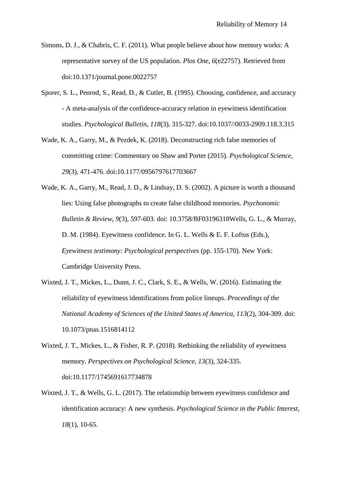- Simons, D. J., & Chabris, C. F. (2011). What people believe about how memory works: A representative survey of the US population. *Plos One, 6*(e22757). Retrieved from doi:10.1371/journal.pone.0022757
- Sporer, S. L., Penrod, S., Read, D., & Cutler, B. (1995). Choosing, confidence, and accuracy - A meta-analysis of the confidence-accuracy relation in eyewitness identification studies. *Psychological Bulletin, 118*(3), 315-327. doi:10.1037//0033-2909.118.3.315
- Wade, K. A., Garry, M., & Pezdek, K. (2018). Deconstructing rich false memories of committing crime: Commentary on Shaw and Porter (2015). *Psychological Science, 29*(3), 471-476. doi:10.1177/0956797617703667
- Wade, K. A., Garry, M., Read, J. D., & Lindsay, D. S. (2002). A picture is worth a thousand lies: Using false photographs to create false childhood memories. *Psychonomic Bulletin & Review, 9*(3), 597-603. doi: 10.3758/BF03196318Wells, G. L., & Murray, D. M. (1984). Eyewitness confidence. In G. L. Wells & E. F. Loftus (Eds.), *Eyewitness testimony: Psychological perspectives* (pp. 155-170). New York: Cambridge University Press.
- Wixted, J. T., Mickes, L., Dunn, J. C., Clark, S. E., & Wells, W. (2016). Estimating the reliability of eyewitness identifications from police lineups. *Proceedings of the National Academy of Sciences of the United States of America, 113*(2), 304-309. doi: 10.1073/pnas.1516814112
- Wixted, J. T., Mickes, L., & Fisher, R. P. (2018). Rethinking the reliability of eyewitness memory. *Perspectives on Psychological Science, 13*(3), 324-335. doi:10.1177/1745691617734878
- Wixted, J. T., & Wells, G. L. (2017). The relationship between eyewitness confidence and identification accuracy: A new synthesis. *Psychological Science in the Public Interest, 18*(1), 10-65.